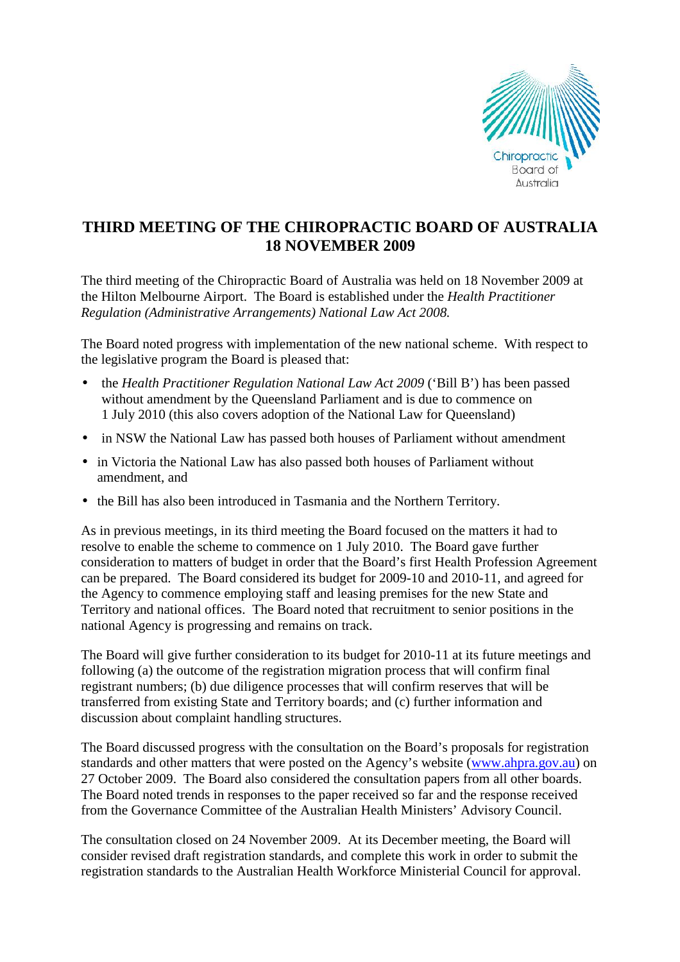

## **THIRD MEETING OF THE CHIROPRACTIC BOARD OF AUSTRALIA 18 NOVEMBER 2009**

The third meeting of the Chiropractic Board of Australia was held on 18 November 2009 at the Hilton Melbourne Airport. The Board is established under the *Health Practitioner Regulation (Administrative Arrangements) National Law Act 2008.* 

The Board noted progress with implementation of the new national scheme. With respect to the legislative program the Board is pleased that:

- the *Health Practitioner Regulation National Law Act 2009* ('Bill B') has been passed without amendment by the Queensland Parliament and is due to commence on 1 July 2010 (this also covers adoption of the National Law for Queensland)
- in NSW the National Law has passed both houses of Parliament without amendment
- in Victoria the National Law has also passed both houses of Parliament without amendment, and
- the Bill has also been introduced in Tasmania and the Northern Territory.

As in previous meetings, in its third meeting the Board focused on the matters it had to resolve to enable the scheme to commence on 1 July 2010. The Board gave further consideration to matters of budget in order that the Board's first Health Profession Agreement can be prepared. The Board considered its budget for 2009-10 and 2010-11, and agreed for the Agency to commence employing staff and leasing premises for the new State and Territory and national offices. The Board noted that recruitment to senior positions in the national Agency is progressing and remains on track.

The Board will give further consideration to its budget for 2010-11 at its future meetings and following (a) the outcome of the registration migration process that will confirm final registrant numbers; (b) due diligence processes that will confirm reserves that will be transferred from existing State and Territory boards; and (c) further information and discussion about complaint handling structures.

The Board discussed progress with the consultation on the Board's proposals for registration standards and other matters that were posted on the Agency's website (www.ahpra.gov.au) on 27 October 2009. The Board also considered the consultation papers from all other boards. The Board noted trends in responses to the paper received so far and the response received from the Governance Committee of the Australian Health Ministers' Advisory Council.

The consultation closed on 24 November 2009. At its December meeting, the Board will consider revised draft registration standards, and complete this work in order to submit the registration standards to the Australian Health Workforce Ministerial Council for approval.